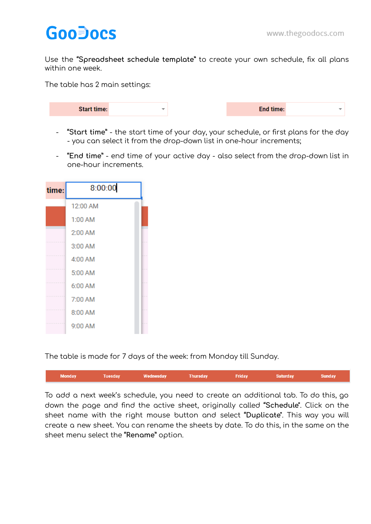## **GooDocs**

Use the **"Spreadsheet schedule template"** to create your own schedule, fix all plans within one week.

The table has 2 main settings:

| <b>Start time:</b><br>÷ | <b>End time:</b> |  |
|-------------------------|------------------|--|
|-------------------------|------------------|--|

- **"Start time"** the start time of your day, your schedule, or first plans for the day - you can select it from the drop-down list in one-hour increments;
- **"End time"** end time of your active day also select from the drop-down list in one-hour increments.

| time: | 8:00:00  |  |
|-------|----------|--|
|       | 12:00 AM |  |
|       | 1:00 AM  |  |
|       | 2:00 AM  |  |
|       | 3:00 AM  |  |
|       | 4:00 AM  |  |
|       | 5:00 AM  |  |
|       | 6:00 AM  |  |
|       | 7:00 AM  |  |
|       | 8:00 AM  |  |
|       | 9:00 AM  |  |

The table is made for 7 days of the week: from Monday till Sunday.

| Monday | Tuesday | Wednesday | Thursday | <b>Friday</b> | Saturday | <b>Sunday</b> |
|--------|---------|-----------|----------|---------------|----------|---------------|
|        |         |           |          |               |          |               |

To add a next week's schedule, you need to create an additional tab. To do this, go down the page and find the active sheet, originally called **"Schedule"**. Click on the sheet name with the right mouse button and select **"Duplicate"**. This way you will create a new sheet. You can rename the sheets by date. To do this, in the same on the sheet menu select the **"Rename"** option.